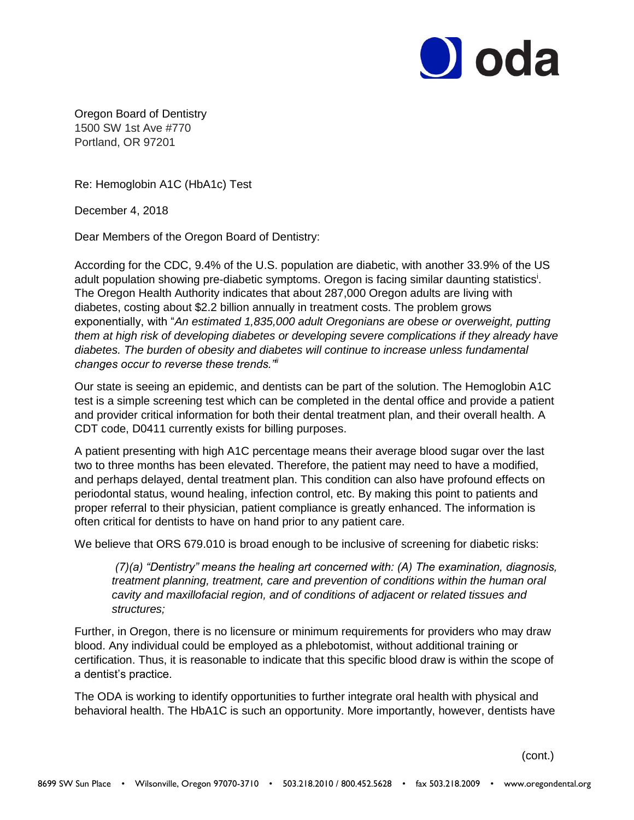

Oregon Board of Dentistry 1500 SW 1st Ave #770 Portland, OR 97201

Re: Hemoglobin A1C (HbA1c) Test

December 4, 2018

Dear Members of the Oregon Board of Dentistry:

According for the CDC, 9.4% of the U.S. population are diabetic, with another 33.9% of the US adult population showing pre-diabetic symptoms. Oregon is facing similar daunting statistics<sup>i</sup>. The Oregon Health Authority indicates that about 287,000 Oregon adults are living with diabetes, costing about \$2.2 billion annually in treatment costs. The problem grows exponentially, with "*An estimated 1,835,000 adult Oregonians are obese or overweight, putting them at high risk of developing diabetes or developing severe complications if they already have diabetes. The burden of obesity and diabetes will continue to increase unless fundamental changes occur to reverse these trends."ii*

Our state is seeing an epidemic, and dentists can be part of the solution. The Hemoglobin A1C test is a simple screening test which can be completed in the dental office and provide a patient and provider critical information for both their dental treatment plan, and their overall health. A CDT code, D0411 currently exists for billing purposes.

A patient presenting with high A1C percentage means their average blood sugar over the last two to three months has been elevated. Therefore, the patient may need to have a modified, and perhaps delayed, dental treatment plan. This condition can also have profound effects on periodontal status, wound healing, infection control, etc. By making this point to patients and proper referral to their physician, patient compliance is greatly enhanced. The information is often critical for dentists to have on hand prior to any patient care.

We believe that ORS 679.010 is broad enough to be inclusive of screening for diabetic risks:

*(7)(a) "Dentistry" means the healing art concerned with: (A) The examination, diagnosis, treatment planning, treatment, care and prevention of conditions within the human oral cavity and maxillofacial region, and of conditions of adjacent or related tissues and structures;* 

Further, in Oregon, there is no licensure or minimum requirements for providers who may draw blood. Any individual could be employed as a phlebotomist, without additional training or certification. Thus, it is reasonable to indicate that this specific blood draw is within the scope of a dentist's practice.

The ODA is working to identify opportunities to further integrate oral health with physical and behavioral health. The HbA1C is such an opportunity. More importantly, however, dentists have

(cont.)